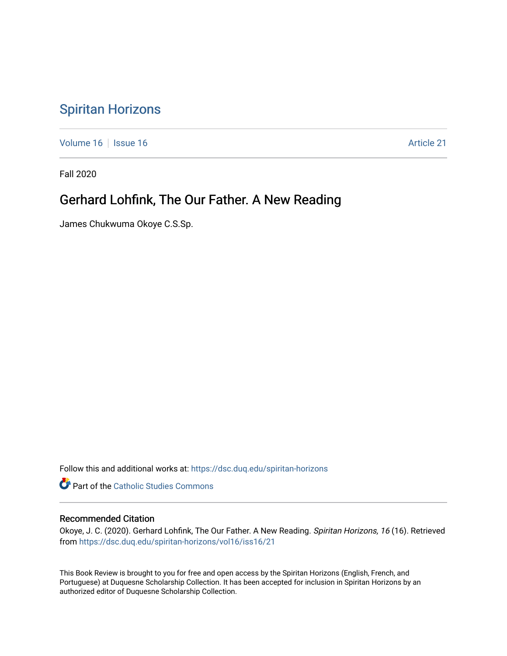## [Spiritan Horizons](https://dsc.duq.edu/spiritan-horizons)

[Volume 16](https://dsc.duq.edu/spiritan-horizons/vol16) | [Issue 16](https://dsc.duq.edu/spiritan-horizons/vol16/iss16) | Issue 16 | Issue 16 | Issue 16 | Issue 16 | Issue 16 | Issue 16 | Issue 16 | Issue 16 | Issue 16 | Issue 16 | Issue 16 | Issue 16 | Issue 16 | Issue 16 | Issue 16 | Issue 16 | Issue 16 | Issue 16 | I

Fall 2020

## Gerhard Lohfink, The Our Father. A New Reading

James Chukwuma Okoye C.S.Sp.

Follow this and additional works at: [https://dsc.duq.edu/spiritan-horizons](https://dsc.duq.edu/spiritan-horizons?utm_source=dsc.duq.edu%2Fspiritan-horizons%2Fvol16%2Fiss16%2F21&utm_medium=PDF&utm_campaign=PDFCoverPages)

**Part of the [Catholic Studies Commons](http://network.bepress.com/hgg/discipline/1294?utm_source=dsc.duq.edu%2Fspiritan-horizons%2Fvol16%2Fiss16%2F21&utm_medium=PDF&utm_campaign=PDFCoverPages)** 

## Recommended Citation

Okoye, J. C. (2020). Gerhard Lohfink, The Our Father. A New Reading. Spiritan Horizons, 16 (16). Retrieved from [https://dsc.duq.edu/spiritan-horizons/vol16/iss16/21](https://dsc.duq.edu/spiritan-horizons/vol16/iss16/21?utm_source=dsc.duq.edu%2Fspiritan-horizons%2Fvol16%2Fiss16%2F21&utm_medium=PDF&utm_campaign=PDFCoverPages) 

This Book Review is brought to you for free and open access by the Spiritan Horizons (English, French, and Portuguese) at Duquesne Scholarship Collection. It has been accepted for inclusion in Spiritan Horizons by an authorized editor of Duquesne Scholarship Collection.